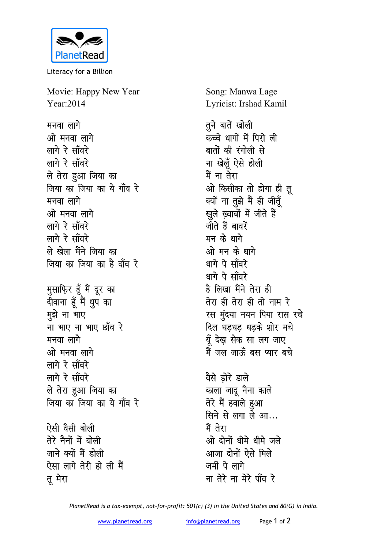

Literacy for a Billion

Movie: Happy New Year Year: 2014

मनवा लागे ओ मनवा लागे लागे रे साँवरे लागे रे साँवरे ले तेरा हुआ जिया का जिया का जिया का ये गाँव रे मनवा लागे ओ मनवा लागे लागे रे साँवरे लागे रे साँवरे ले खेला मैंने जिया का जिया का जिया का है दाँव रे मुसाफ़िर हूँ मैं दूर का दीवाना हूँ मैं धुप का मुझे ना भाए ना भाए ना भाए छाँव रे मनवा लागे ओ मनवा लागे लागे रे साँवरे लागे रे साँवरे ले तेरा हुआ जिया का जिया का जिया का ये गाँव रे ऐसी वैसी बोली तेरे नैनों में बोली

जाने क्यों मैं होली ऐसा लागे तेरी हो ली मैं तू मेरा

Song: Manwa Lage Lyricist: Irshad Kamil

तने बातें खोली कच्चे धागों में पिरो ली बातों की रंगोली से ना खेलूँ ऐसे होली मैं ना तेरा ओ किसीका तो होगा ही तू क्यों ना तुझे मैं ही जीतूँ खुले ख़्वाबों में जीते हैं जीते हैं बावरें मन के धागे ओ मन के धागे धागे पे सॉवरे धागे पे साँवरे है लिखा मैंने तेरा ही तेरा ही तेरा ही तो नाम रे रस मुंदया नयन पिया रास रचे दिल धडधड धडके शोर मचे यूँ देख्न सेक सा लग जाए मैं जल जाऊँ बस प्यार बचे

वैसे डोरे डाले काला जादू नैना काले तेरे मैं हवाले हुआ सिने से लगा ले आ... मैं तेरा ओ दोनों धीमे धीमे जले आजा दोनों ऐसे मिले जमीं पे लागे ना तेरे ना मेरे पाँव रे

PlanetRead is a tax-exempt, not-for-profit: 501(c) (3) in the United States and 80(G) in India.